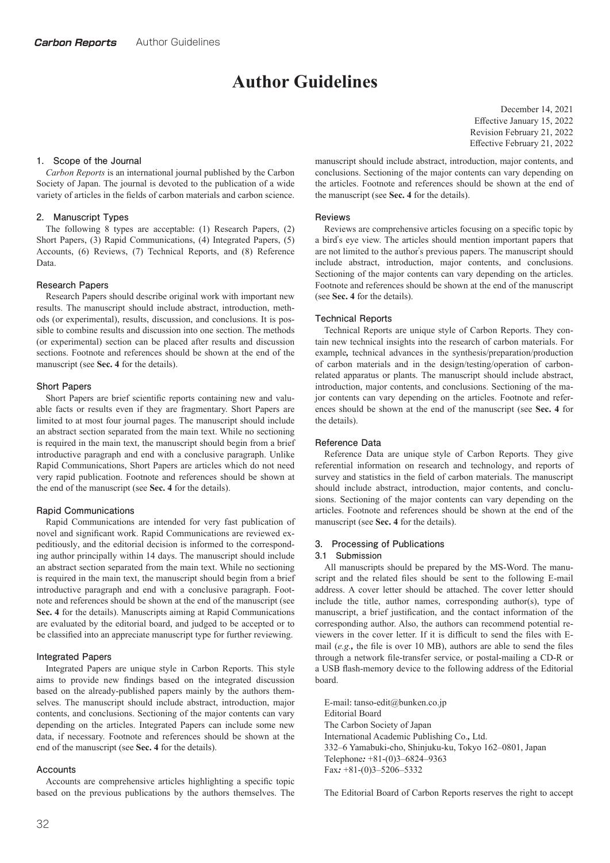# **Author Guidelines**

#### **1. Scope of the Journal**

*Carbon Reports* is an international journal published by the Carbon Society of Japan. The journal is devoted to the publication of a wide variety of articles in the fields of carbon materials and carbon science.

#### **2. Manuscript Types**

The following 8 types are acceptable**:** (1) Research Papers**,** (2) Short Papers**,** (3) Rapid Communications**,** (4) Integrated Papers**,** (5) Accounts**,** (6) Reviews**,** (7) Technical Reports**,** and (8) Reference Data.

## **Research Papers**

Research Papers should describe original work with important new results. The manuscript should include abstract**,** introduction**,** methods (or experimental)**,** results**,** discussion**,** and conclusions. It is possible to combine results and discussion into one section. The methods (or experimental) section can be placed after results and discussion sections. Footnote and references should be shown at the end of the manuscript (see **Sec. 4** for the details).

#### **Short Papers**

Short Papers are brief scientific reports containing new and valuable facts or results even if they are fragmentary. Short Papers are limited to at most four journal pages. The manuscript should include an abstract section separated from the main text. While no sectioning is required in the main text**,** the manuscript should begin from a brief introductive paragraph and end with a conclusive paragraph. Unlike Rapid Communications**,** Short Papers are articles which do not need very rapid publication. Footnote and references should be shown at the end of the manuscript (see **Sec. 4** for the details).

#### **Rapid Communications**

Rapid Communications are intended for very fast publication of novel and significant work. Rapid Communications are reviewed expeditiously**,** and the editorial decision is informed to the corresponding author principally within 14 days. The manuscript should include an abstract section separated from the main text. While no sectioning is required in the main text**,** the manuscript should begin from a brief introductive paragraph and end with a conclusive paragraph. Footnote and references should be shown at the end of the manuscript (see **Sec. 4** for the details). Manuscripts aiming at Rapid Communications are evaluated by the editorial board**,** and judged to be accepted or to be classified into an appreciate manuscript type for further reviewing.

#### **Integrated Papers**

Integrated Papers are unique style in Carbon Reports. This style aims to provide new findings based on the integrated discussion based on the already-published papers mainly by the authors themselves. The manuscript should include abstract**,** introduction**,** major contents**,** and conclusions. Sectioning of the major contents can vary depending on the articles. Integrated Papers can include some new data**,** if necessary. Footnote and references should be shown at the end of the manuscript (see **Sec. 4** for the details).

#### **Accounts**

Accounts are comprehensive articles highlighting a specific topic based on the previous publications by the authors themselves. The

December 14**,** 2021 Effective January 15**,** 2022 Revision February 21**,** 2022 Effective February 21**,** 2022

manuscript should include abstract**,** introduction**,** major contents**,** and conclusions. Sectioning of the major contents can vary depending on the articles. Footnote and references should be shown at the end of the manuscript (see **Sec. 4** for the details).

#### **Reviews**

Reviews are comprehensive articles focusing on a specific topic by a bird's eye view. The articles should mention important papers that are not limited to the author's previous papers. The manuscript should include abstract**,** introduction**,** major contents**,** and conclusions. Sectioning of the major contents can vary depending on the articles. Footnote and references should be shown at the end of the manuscript (see **Sec. 4** for the details).

#### **Technical Reports**

Technical Reports are unique style of Carbon Reports. They contain new technical insights into the research of carbon materials. For example*,* technical advances in the synthesis/preparation/production of carbon materials and in the design/testing/operation of carbonrelated apparatus or plants. The manuscript should include abstract**,** introduction**,** major contents**,** and conclusions. Sectioning of the major contents can vary depending on the articles. Footnote and references should be shown at the end of the manuscript (see **Sec. 4** for the details).

#### **Reference Data**

Reference Data are unique style of Carbon Reports. They give referential information on research and technology**,** and reports of survey and statistics in the field of carbon materials. The manuscript should include abstract**,** introduction**,** major contents**,** and conclusions. Sectioning of the major contents can vary depending on the articles. Footnote and references should be shown at the end of the manuscript (see **Sec. 4** for the details).

# **3. Processing of Publications**

#### **3.1 Submission**

All manuscripts should be prepared by the MS-Word. The manuscript and the related files should be sent to the following E-mail address. A cover letter should be attached. The cover letter should include the title**,** author names**,** corresponding author(s)**,** type of manuscript**,** a brief justification**,** and the contact information of the corresponding author. Also**,** the authors can recommend potential reviewers in the cover letter. If it is difficult to send the files with Email (*e.g.,* the file is over 10 MB)**,** authors are able to send the files through a network file-transfer service**,** or postal-mailing a CD-R or a USB flash-memory device to the following address of the Editorial board.

E-mail**:** tanso-edit@bunken.co.jp Editorial Board The Carbon Society of Japan International Academic Publishing Co.*,* Ltd. 332–6 Yamabuki-cho**,** Shinjuku-ku**,** Tokyo 162–0801**,** Japan Telephone*:* +81-(0)3–6824–9363 Fax*:* +81-(0)3–5206–5332

The Editorial Board of Carbon Reports reserves the right to accept